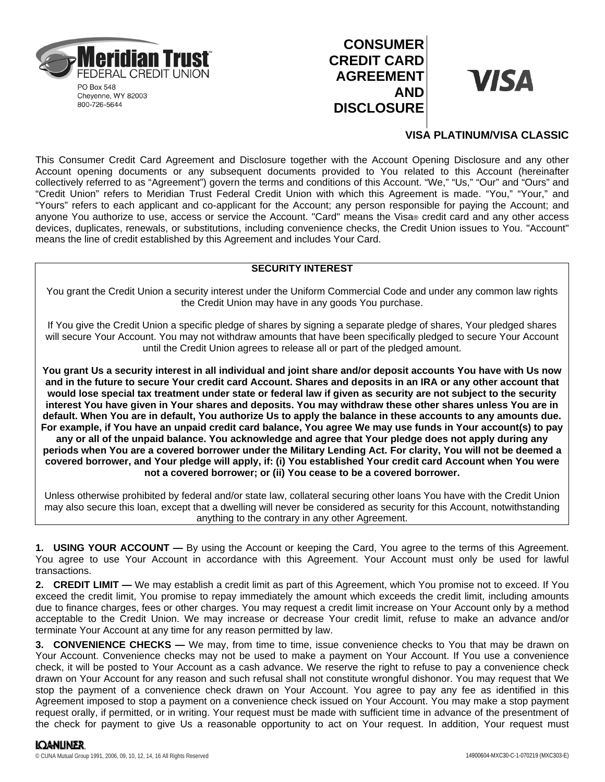

Cheyenne, WY 82003 800-726-5644

# **CONSUMER CREDIT CARD AGREEMENT AND DISCLOSURE**



## **VISA PLATINUM/VISA CLASSIC**

This Consumer Credit Card Agreement and Disclosure together with the Account Opening Disclosure and any other Account opening documents or any subsequent documents provided to You related to this Account (hereinafter collectively referred to as "Agreement") govern the terms and conditions of this Account. "We," "Us," "Our" and "Ours" and "Credit Union" refers to Meridian Trust Federal Credit Union with which this Agreement is made. "You," "Your," and "Yours" refers to each applicant and co-applicant for the Account; any person responsible for paying the Account; and anyone You authorize to use, access or service the Account. "Card" means the Visa® credit card and any other access devices, duplicates, renewals, or substitutions, including convenience checks, the Credit Union issues to You. "Account" means the line of credit established by this Agreement and includes Your Card.

## **SECURITY INTEREST**

You grant the Credit Union a security interest under the Uniform Commercial Code and under any common law rights the Credit Union may have in any goods You purchase.

If You give the Credit Union a specific pledge of shares by signing a separate pledge of shares, Your pledged shares will secure Your Account. You may not withdraw amounts that have been specifically pledged to secure Your Account until the Credit Union agrees to release all or part of the pledged amount.

**You grant Us a security interest in all individual and joint share and/or deposit accounts You have with Us now and in the future to secure Your credit card Account. Shares and deposits in an IRA or any other account that would lose special tax treatment under state or federal law if given as security are not subject to the security interest You have given in Your shares and deposits. You may withdraw these other shares unless You are in default. When You are in default, You authorize Us to apply the balance in these accounts to any amounts due. For example, if You have an unpaid credit card balance, You agree We may use funds in Your account(s) to pay any or all of the unpaid balance. You acknowledge and agree that Your pledge does not apply during any periods when You are a covered borrower under the Military Lending Act. For clarity, You will not be deemed a covered borrower, and Your pledge will apply, if: (i) You established Your credit card Account when You were not a covered borrower; or (ii) You cease to be a covered borrower.**

Unless otherwise prohibited by federal and/or state law, collateral securing other loans You have with the Credit Union may also secure this loan, except that a dwelling will never be considered as security for this Account, notwithstanding anything to the contrary in any other Agreement.

**1. USING YOUR ACCOUNT —** By using the Account or keeping the Card, You agree to the terms of this Agreement. You agree to use Your Account in accordance with this Agreement. Your Account must only be used for lawful transactions.

**2. CREDIT LIMIT —** We may establish a credit limit as part of this Agreement, which You promise not to exceed. If You exceed the credit limit, You promise to repay immediately the amount which exceeds the credit limit, including amounts due to finance charges, fees or other charges. You may request a credit limit increase on Your Account only by a method acceptable to the Credit Union. We may increase or decrease Your credit limit, refuse to make an advance and/or terminate Your Account at any time for any reason permitted by law.

**3. CONVENIENCE CHECKS —** We may, from time to time, issue convenience checks to You that may be drawn on Your Account. Convenience checks may not be used to make a payment on Your Account. If You use a convenience check, it will be posted to Your Account as a cash advance. We reserve the right to refuse to pay a convenience check drawn on Your Account for any reason and such refusal shall not constitute wrongful dishonor. You may request that We stop the payment of a convenience check drawn on Your Account. You agree to pay any fee as identified in this Agreement imposed to stop a payment on a convenience check issued on Your Account. You may make a stop payment request orally, if permitted, or in writing. Your request must be made with sufficient time in advance of the presentment of the check for payment to give Us a reasonable opportunity to act on Your request. In addition, Your request must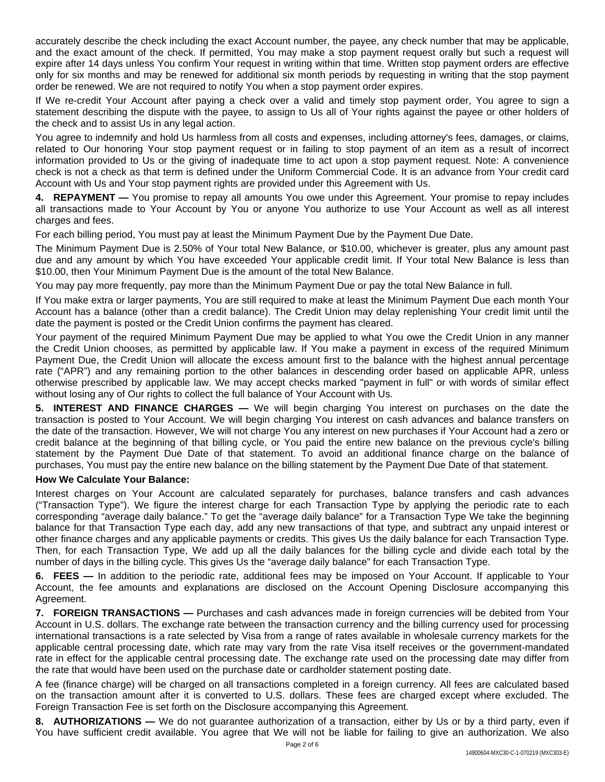accurately describe the check including the exact Account number, the payee, any check number that may be applicable, and the exact amount of the check. If permitted, You may make a stop payment request orally but such a request will expire after 14 days unless You confirm Your request in writing within that time. Written stop payment orders are effective only for six months and may be renewed for additional six month periods by requesting in writing that the stop payment order be renewed. We are not required to notify You when a stop payment order expires.

If We re-credit Your Account after paying a check over a valid and timely stop payment order, You agree to sign a statement describing the dispute with the payee, to assign to Us all of Your rights against the payee or other holders of the check and to assist Us in any legal action.

You agree to indemnify and hold Us harmless from all costs and expenses, including attorney's fees, damages, or claims, related to Our honoring Your stop payment request or in failing to stop payment of an item as a result of incorrect information provided to Us or the giving of inadequate time to act upon a stop payment request. Note: A convenience check is not a check as that term is defined under the Uniform Commercial Code. It is an advance from Your credit card Account with Us and Your stop payment rights are provided under this Agreement with Us.

**4. REPAYMENT —** You promise to repay all amounts You owe under this Agreement. Your promise to repay includes all transactions made to Your Account by You or anyone You authorize to use Your Account as well as all interest charges and fees.

For each billing period, You must pay at least the Minimum Payment Due by the Payment Due Date.

The Minimum Payment Due is 2.50% of Your total New Balance, or \$10.00, whichever is greater, plus any amount past due and any amount by which You have exceeded Your applicable credit limit. If Your total New Balance is less than \$10.00, then Your Minimum Payment Due is the amount of the total New Balance.

You may pay more frequently, pay more than the Minimum Payment Due or pay the total New Balance in full.

If You make extra or larger payments, You are still required to make at least the Minimum Payment Due each month Your Account has a balance (other than a credit balance). The Credit Union may delay replenishing Your credit limit until the date the payment is posted or the Credit Union confirms the payment has cleared.

Your payment of the required Minimum Payment Due may be applied to what You owe the Credit Union in any manner the Credit Union chooses, as permitted by applicable law. If You make a payment in excess of the required Minimum Payment Due, the Credit Union will allocate the excess amount first to the balance with the highest annual percentage rate ("APR") and any remaining portion to the other balances in descending order based on applicable APR, unless otherwise prescribed by applicable law. We may accept checks marked "payment in full" or with words of similar effect without losing any of Our rights to collect the full balance of Your Account with Us.

**5. INTEREST AND FINANCE CHARGES —** We will begin charging You interest on purchases on the date the transaction is posted to Your Account. We will begin charging You interest on cash advances and balance transfers on the date of the transaction. However, We will not charge You any interest on new purchases if Your Account had a zero or credit balance at the beginning of that billing cycle, or You paid the entire new balance on the previous cycle's billing statement by the Payment Due Date of that statement. To avoid an additional finance charge on the balance of purchases, You must pay the entire new balance on the billing statement by the Payment Due Date of that statement.

## **How We Calculate Your Balance:**

Interest charges on Your Account are calculated separately for purchases, balance transfers and cash advances ("Transaction Type"). We figure the interest charge for each Transaction Type by applying the periodic rate to each corresponding "average daily balance." To get the "average daily balance" for a Transaction Type We take the beginning balance for that Transaction Type each day, add any new transactions of that type, and subtract any unpaid interest or other finance charges and any applicable payments or credits. This gives Us the daily balance for each Transaction Type. Then, for each Transaction Type, We add up all the daily balances for the billing cycle and divide each total by the number of days in the billing cycle. This gives Us the "average daily balance" for each Transaction Type.

**6. FEES —** In addition to the periodic rate, additional fees may be imposed on Your Account. If applicable to Your Account, the fee amounts and explanations are disclosed on the Account Opening Disclosure accompanying this Agreement.

**7. FOREIGN TRANSACTIONS —** Purchases and cash advances made in foreign currencies will be debited from Your Account in U.S. dollars. The exchange rate between the transaction currency and the billing currency used for processing international transactions is a rate selected by Visa from a range of rates available in wholesale currency markets for the applicable central processing date, which rate may vary from the rate Visa itself receives or the government-mandated rate in effect for the applicable central processing date. The exchange rate used on the processing date may differ from the rate that would have been used on the purchase date or cardholder statement posting date.

A fee (finance charge) will be charged on all transactions completed in a foreign currency. All fees are calculated based on the transaction amount after it is converted to U.S. dollars. These fees are charged except where excluded. The Foreign Transaction Fee is set forth on the Disclosure accompanying this Agreement.

**8. AUTHORIZATIONS —** We do not guarantee authorization of a transaction, either by Us or by a third party, even if You have sufficient credit available. You agree that We will not be liable for failing to give an authorization. We also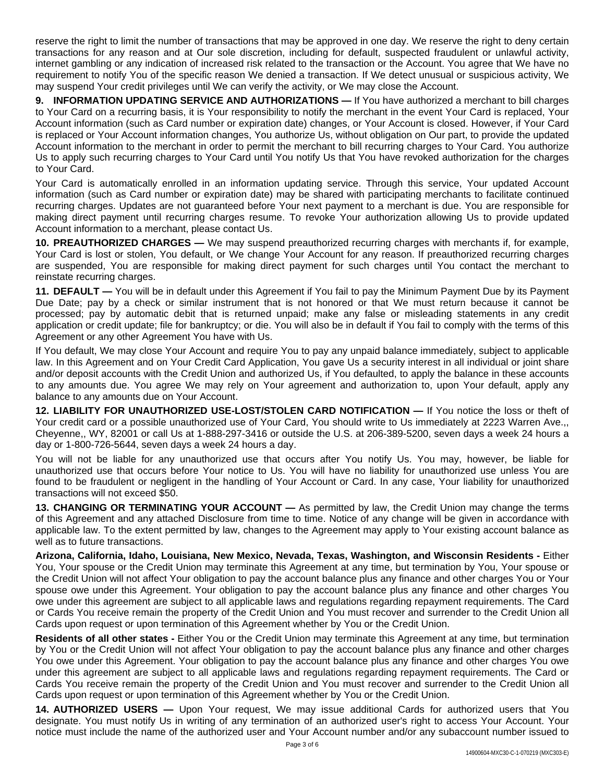reserve the right to limit the number of transactions that may be approved in one day. We reserve the right to deny certain transactions for any reason and at Our sole discretion, including for default, suspected fraudulent or unlawful activity, internet gambling or any indication of increased risk related to the transaction or the Account. You agree that We have no requirement to notify You of the specific reason We denied a transaction. If We detect unusual or suspicious activity, We may suspend Your credit privileges until We can verify the activity, or We may close the Account.

**9. INFORMATION UPDATING SERVICE AND AUTHORIZATIONS —** If You have authorized a merchant to bill charges to Your Card on a recurring basis, it is Your responsibility to notify the merchant in the event Your Card is replaced, Your Account information (such as Card number or expiration date) changes, or Your Account is closed. However, if Your Card is replaced or Your Account information changes, You authorize Us, without obligation on Our part, to provide the updated Account information to the merchant in order to permit the merchant to bill recurring charges to Your Card. You authorize Us to apply such recurring charges to Your Card until You notify Us that You have revoked authorization for the charges to Your Card.

Your Card is automatically enrolled in an information updating service. Through this service, Your updated Account information (such as Card number or expiration date) may be shared with participating merchants to facilitate continued recurring charges. Updates are not guaranteed before Your next payment to a merchant is due. You are responsible for making direct payment until recurring charges resume. To revoke Your authorization allowing Us to provide updated Account information to a merchant, please contact Us.

**10. PREAUTHORIZED CHARGES —** We may suspend preauthorized recurring charges with merchants if, for example, Your Card is lost or stolen, You default, or We change Your Account for any reason. If preauthorized recurring charges are suspended, You are responsible for making direct payment for such charges until You contact the merchant to reinstate recurring charges.

**11. DEFAULT —** You will be in default under this Agreement if You fail to pay the Minimum Payment Due by its Payment Due Date; pay by a check or similar instrument that is not honored or that We must return because it cannot be processed; pay by automatic debit that is returned unpaid; make any false or misleading statements in any credit application or credit update; file for bankruptcy; or die. You will also be in default if You fail to comply with the terms of this Agreement or any other Agreement You have with Us.

If You default, We may close Your Account and require You to pay any unpaid balance immediately, subject to applicable law. In this Agreement and on Your Credit Card Application, You gave Us a security interest in all individual or joint share and/or deposit accounts with the Credit Union and authorized Us, if You defaulted, to apply the balance in these accounts to any amounts due. You agree We may rely on Your agreement and authorization to, upon Your default, apply any balance to any amounts due on Your Account.

**12. LIABILITY FOR UNAUTHORIZED USE-LOST/STOLEN CARD NOTIFICATION —** If You notice the loss or theft of Your credit card or a possible unauthorized use of Your Card, You should write to Us immediately at 2223 Warren Ave.,, Cheyenne,, WY, 82001 or call Us at 1-888-297-3416 or outside the U.S. at 206-389-5200, seven days a week 24 hours a day or 1-800-726-5644, seven days a week 24 hours a day.

You will not be liable for any unauthorized use that occurs after You notify Us. You may, however, be liable for unauthorized use that occurs before Your notice to Us. You will have no liability for unauthorized use unless You are found to be fraudulent or negligent in the handling of Your Account or Card. In any case, Your liability for unauthorized transactions will not exceed \$50.

**13. CHANGING OR TERMINATING YOUR ACCOUNT —** As permitted by law, the Credit Union may change the terms of this Agreement and any attached Disclosure from time to time. Notice of any change will be given in accordance with applicable law. To the extent permitted by law, changes to the Agreement may apply to Your existing account balance as well as to future transactions.

**Arizona, California, Idaho, Louisiana, New Mexico, Nevada, Texas, Washington, and Wisconsin Residents -** Either You, Your spouse or the Credit Union may terminate this Agreement at any time, but termination by You, Your spouse or the Credit Union will not affect Your obligation to pay the account balance plus any finance and other charges You or Your spouse owe under this Agreement. Your obligation to pay the account balance plus any finance and other charges You owe under this agreement are subject to all applicable laws and regulations regarding repayment requirements. The Card or Cards You receive remain the property of the Credit Union and You must recover and surrender to the Credit Union all Cards upon request or upon termination of this Agreement whether by You or the Credit Union.

**Residents of all other states -** Either You or the Credit Union may terminate this Agreement at any time, but termination by You or the Credit Union will not affect Your obligation to pay the account balance plus any finance and other charges You owe under this Agreement. Your obligation to pay the account balance plus any finance and other charges You owe under this agreement are subject to all applicable laws and regulations regarding repayment requirements. The Card or Cards You receive remain the property of the Credit Union and You must recover and surrender to the Credit Union all Cards upon request or upon termination of this Agreement whether by You or the Credit Union.

**14. AUTHORIZED USERS —** Upon Your request, We may issue additional Cards for authorized users that You designate. You must notify Us in writing of any termination of an authorized user's right to access Your Account. Your notice must include the name of the authorized user and Your Account number and/or any subaccount number issued to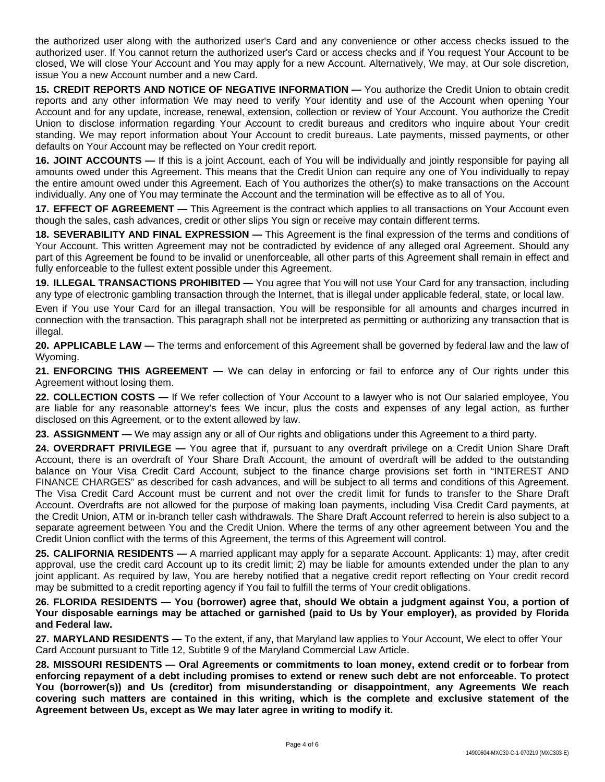the authorized user along with the authorized user's Card and any convenience or other access checks issued to the authorized user. If You cannot return the authorized user's Card or access checks and if You request Your Account to be closed, We will close Your Account and You may apply for a new Account. Alternatively, We may, at Our sole discretion, issue You a new Account number and a new Card.

**15. CREDIT REPORTS AND NOTICE OF NEGATIVE INFORMATION —** You authorize the Credit Union to obtain credit reports and any other information We may need to verify Your identity and use of the Account when opening Your Account and for any update, increase, renewal, extension, collection or review of Your Account. You authorize the Credit Union to disclose information regarding Your Account to credit bureaus and creditors who inquire about Your credit standing. We may report information about Your Account to credit bureaus. Late payments, missed payments, or other defaults on Your Account may be reflected on Your credit report.

**16. JOINT ACCOUNTS —** If this is a joint Account, each of You will be individually and jointly responsible for paying all amounts owed under this Agreement. This means that the Credit Union can require any one of You individually to repay the entire amount owed under this Agreement. Each of You authorizes the other(s) to make transactions on the Account individually. Any one of You may terminate the Account and the termination will be effective as to all of You.

**17. EFFECT OF AGREEMENT —** This Agreement is the contract which applies to all transactions on Your Account even though the sales, cash advances, credit or other slips You sign or receive may contain different terms.

**18. SEVERABILITY AND FINAL EXPRESSION —** This Agreement is the final expression of the terms and conditions of Your Account. This written Agreement may not be contradicted by evidence of any alleged oral Agreement. Should any part of this Agreement be found to be invalid or unenforceable, all other parts of this Agreement shall remain in effect and fully enforceable to the fullest extent possible under this Agreement.

**19. ILLEGAL TRANSACTIONS PROHIBITED —** You agree that You will not use Your Card for any transaction, including any type of electronic gambling transaction through the Internet, that is illegal under applicable federal, state, or local law.

Even if You use Your Card for an illegal transaction, You will be responsible for all amounts and charges incurred in connection with the transaction. This paragraph shall not be interpreted as permitting or authorizing any transaction that is illegal.

**20. APPLICABLE LAW —** The terms and enforcement of this Agreement shall be governed by federal law and the law of Wyoming.

**21. ENFORCING THIS AGREEMENT —** We can delay in enforcing or fail to enforce any of Our rights under this Agreement without losing them.

**22. COLLECTION COSTS —** If We refer collection of Your Account to a lawyer who is not Our salaried employee, You are liable for any reasonable attorney's fees We incur, plus the costs and expenses of any legal action, as further disclosed on this Agreement, or to the extent allowed by law.

**23. ASSIGNMENT —** We may assign any or all of Our rights and obligations under this Agreement to a third party.

**24. OVERDRAFT PRIVILEGE —** You agree that if, pursuant to any overdraft privilege on a Credit Union Share Draft Account, there is an overdraft of Your Share Draft Account, the amount of overdraft will be added to the outstanding balance on Your Visa Credit Card Account, subject to the finance charge provisions set forth in "INTEREST AND FINANCE CHARGES" as described for cash advances, and will be subject to all terms and conditions of this Agreement. The Visa Credit Card Account must be current and not over the credit limit for funds to transfer to the Share Draft Account. Overdrafts are not allowed for the purpose of making loan payments, including Visa Credit Card payments, at the Credit Union, ATM or in-branch teller cash withdrawals. The Share Draft Account referred to herein is also subject to a separate agreement between You and the Credit Union. Where the terms of any other agreement between You and the Credit Union conflict with the terms of this Agreement, the terms of this Agreement will control.

**25. CALIFORNIA RESIDENTS —** A married applicant may apply for a separate Account. Applicants: 1) may, after credit approval, use the credit card Account up to its credit limit; 2) may be liable for amounts extended under the plan to any joint applicant. As required by law, You are hereby notified that a negative credit report reflecting on Your credit record may be submitted to a credit reporting agency if You fail to fulfill the terms of Your credit obligations.

26. FLORIDA RESIDENTS — You (borrower) agree that, should We obtain a judgment against You, a portion of Your disposable earnings may be attached or garnished (paid to Us by Your employer), as provided by Florida **and Federal law.**

**27. MARYLAND RESIDENTS —** To the extent, if any, that Maryland law applies to Your Account, We elect to offer Your Card Account pursuant to Title 12, Subtitle 9 of the Maryland Commercial Law Article.

**28. MISSOURI RESIDENTS — Oral Agreements or commitments to loan money, extend credit or to forbear from** enforcing repayment of a debt including promises to extend or renew such debt are not enforceable. To protect **You (borrower(s)) and Us (creditor) from misunderstanding or disappointment, any Agreements We reach covering such matters are contained in this writing, which is the complete and exclusive statement of the Agreement between Us, except as We may later agree in writing to modify it.**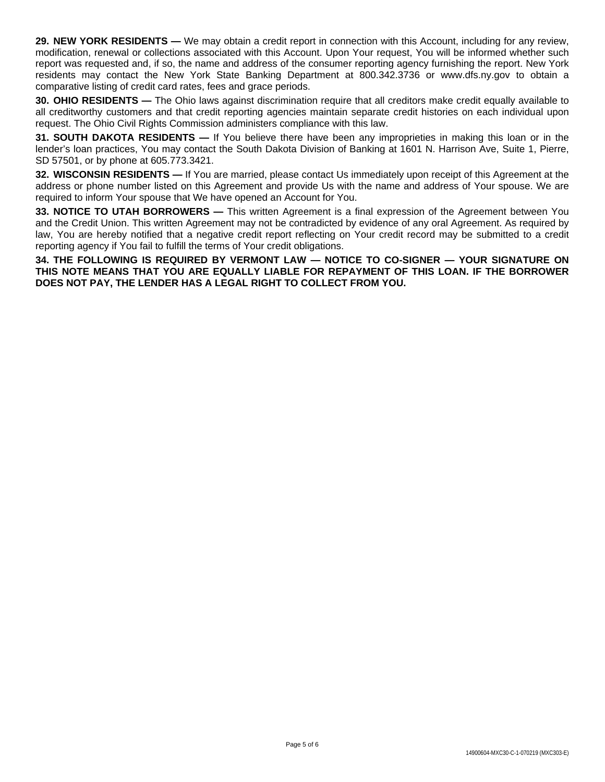**29. NEW YORK RESIDENTS —** We may obtain a credit report in connection with this Account, including for any review, modification, renewal or collections associated with this Account. Upon Your request, You will be informed whether such report was requested and, if so, the name and address of the consumer reporting agency furnishing the report. New York residents may contact the New York State Banking Department at 800.342.3736 or www.dfs.ny.gov to obtain a comparative listing of credit card rates, fees and grace periods.

**30. OHIO RESIDENTS** — The Ohio laws against discrimination require that all creditors make credit equally available to all creditworthy customers and that credit reporting agencies maintain separate credit histories on each individual upon request. The Ohio Civil Rights Commission administers compliance with this law.

**31. SOUTH DAKOTA RESIDENTS —** If You believe there have been any improprieties in making this loan or in the lender's loan practices, You may contact the South Dakota Division of Banking at 1601 N. Harrison Ave, Suite 1, Pierre, SD 57501, or by phone at 605.773.3421.

**32. WISCONSIN RESIDENTS —** If You are married, please contact Us immediately upon receipt of this Agreement at the address or phone number listed on this Agreement and provide Us with the name and address of Your spouse. We are required to inform Your spouse that We have opened an Account for You.

**33. NOTICE TO UTAH BORROWERS —** This written Agreement is a final expression of the Agreement between You and the Credit Union. This written Agreement may not be contradicted by evidence of any oral Agreement. As required by law, You are hereby notified that a negative credit report reflecting on Your credit record may be submitted to a credit reporting agency if You fail to fulfill the terms of Your credit obligations.

**34. THE FOLLOWING IS REQUIRED BY VERMONT LAW — NOTICE TO CO-SIGNER — YOUR SIGNATURE ON THIS NOTE MEANS THAT YOU ARE EQUALLY LIABLE FOR REPAYMENT OF THIS LOAN. IF THE BORROWER DOES NOT PAY, THE LENDER HAS A LEGAL RIGHT TO COLLECT FROM YOU.**